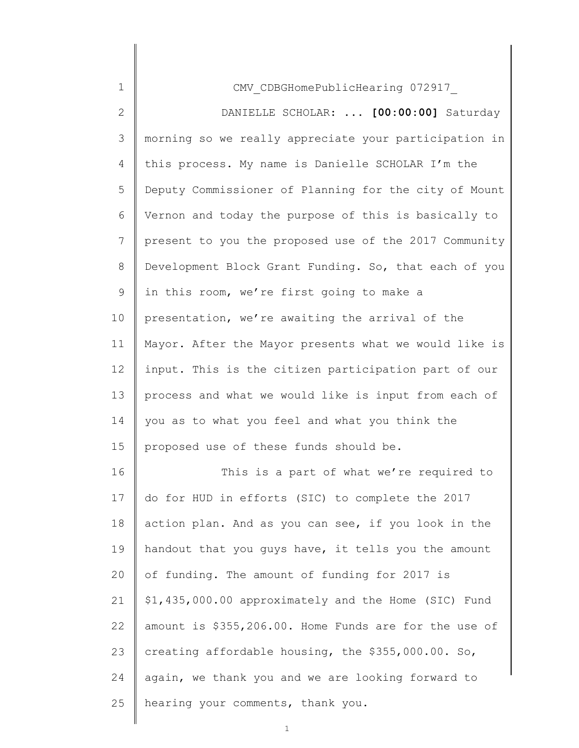| $\mathbf 1$    | CMV CDBGHomePublicHearing 072917                      |
|----------------|-------------------------------------------------------|
| $\overline{2}$ | DANIELLE SCHOLAR:  [00:00:00] Saturday                |
| 3              | morning so we really appreciate your participation in |
| 4              | this process. My name is Danielle SCHOLAR I'm the     |
| 5              | Deputy Commissioner of Planning for the city of Mount |
| 6              | Vernon and today the purpose of this is basically to  |
| 7              | present to you the proposed use of the 2017 Community |
| 8              | Development Block Grant Funding. So, that each of you |
| 9              | in this room, we're first going to make a             |
| 10             | presentation, we're awaiting the arrival of the       |
| 11             | Mayor. After the Mayor presents what we would like is |
| 12             | input. This is the citizen participation part of our  |
| 13             | process and what we would like is input from each of  |
| 14             | you as to what you feel and what you think the        |
| 15             | proposed use of these funds should be.                |
| 16             | This is a part of what we're required to              |
| 17             | do for HUD in efforts (SIC) to complete the 2017      |
| 18             | action plan. And as you can see, if you look in the   |
| 19             | handout that you guys have, it tells you the amount   |
| 20             | of funding. The amount of funding for 2017 is         |
| 21             | \$1,435,000.00 approximately and the Home (SIC) Fund  |
| 22             | amount is \$355,206.00. Home Funds are for the use of |
| 23             | creating affordable housing, the \$355,000.00. So,    |
| 24             | again, we thank you and we are looking forward to     |
| 25             | hearing your comments, thank you.                     |
|                |                                                       |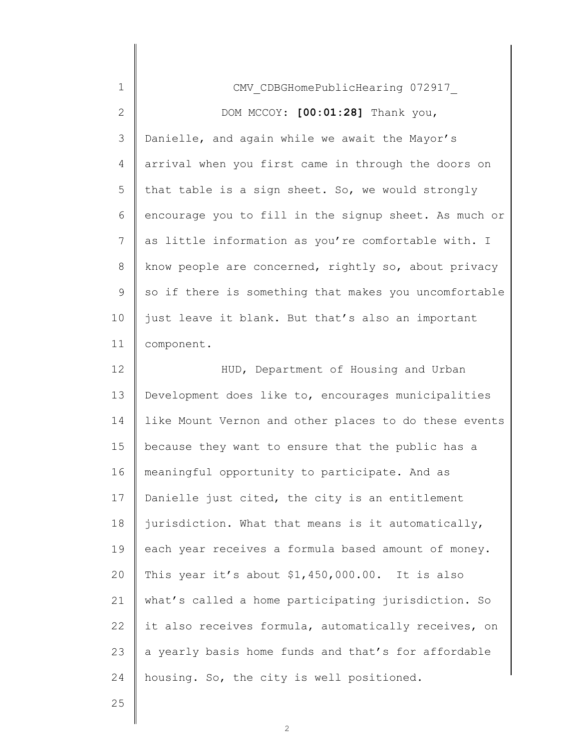| $\mathbf 1$    | CMV CDBGHomePublicHearing 072917                      |
|----------------|-------------------------------------------------------|
| $\mathbf{2}$   | DOM MCCOY: [00:01:28] Thank you,                      |
| $\mathfrak{Z}$ | Danielle, and again while we await the Mayor's        |
| 4              | arrival when you first came in through the doors on   |
| 5              | that table is a sign sheet. So, we would strongly     |
| 6              | encourage you to fill in the signup sheet. As much or |
| $7\phantom{.}$ | as little information as you're comfortable with. I   |
| $\,8\,$        | know people are concerned, rightly so, about privacy  |
| $\mathcal{G}$  | so if there is something that makes you uncomfortable |
| 10             | just leave it blank. But that's also an important     |
| 11             | component.                                            |
| 12             | HUD, Department of Housing and Urban                  |
| 13             | Development does like to, encourages municipalities   |
| 14             | like Mount Vernon and other places to do these events |
| 15             | because they want to ensure that the public has a     |
| 16             | meaningful opportunity to participate. And as         |
| 17             | Danielle just cited, the city is an entitlement       |
| 18             | jurisdiction. What that means is it automatically,    |
| 19             | each year receives a formula based amount of money.   |
| 20             | This year it's about \$1,450,000.00. It is also       |
| 21             | what's called a home participating jurisdiction. So   |
| 22             | it also receives formula, automatically receives, on  |
| 23             | a yearly basis home funds and that's for affordable   |
| 24             | housing. So, the city is well positioned.             |
| 25             |                                                       |

 $\parallel$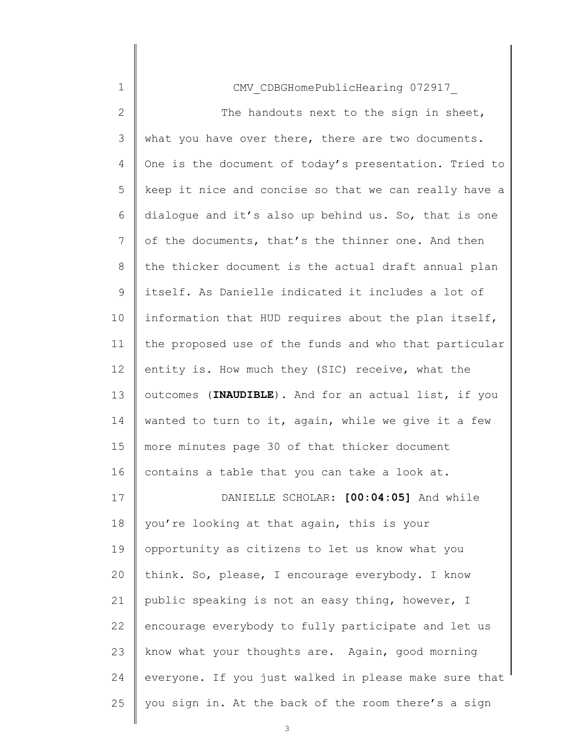| $\mathbf 1$    | CMV CDBGHomePublicHearing 072917                      |
|----------------|-------------------------------------------------------|
| $\overline{2}$ | The handouts next to the sign in sheet,               |
| 3              | what you have over there, there are two documents.    |
| 4              | One is the document of today's presentation. Tried to |
| 5              | keep it nice and concise so that we can really have a |
| 6              | dialogue and it's also up behind us. So, that is one  |
| $\overline{7}$ | of the documents, that's the thinner one. And then    |
| 8              | the thicker document is the actual draft annual plan  |
| 9              | itself. As Danielle indicated it includes a lot of    |
| 10             | information that HUD requires about the plan itself,  |
| 11             | the proposed use of the funds and who that particular |
| 12             | entity is. How much they (SIC) receive, what the      |
| 13             | outcomes (INAUDIBLE). And for an actual list, if you  |
| 14             | wanted to turn to it, again, while we give it a few   |
| 15             | more minutes page 30 of that thicker document         |
| 16             | contains a table that you can take a look at.         |
| 17             | DANIELLE SCHOLAR: [00:04:05] And while                |
| 18             | you're looking at that again, this is your            |
| 19             | opportunity as citizens to let us know what you       |
| 20             | think. So, please, I encourage everybody. I know      |
| 21             | public speaking is not an easy thing, however, I      |
| 22             | encourage everybody to fully participate and let us   |
| 23             | know what your thoughts are. Again, good morning      |
| 24             | everyone. If you just walked in please make sure that |
| 25             | you sign in. At the back of the room there's a sign   |
|                |                                                       |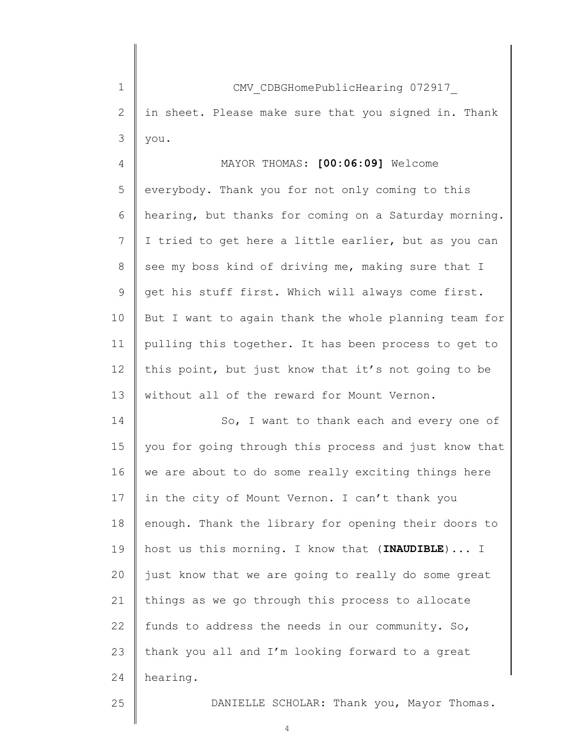1 2 3 CMV\_CDBGHomePublicHearing 072917\_ in sheet. Please make sure that you signed in. Thank you.

4

25

5 6 7 8 9 10 11 12 13 MAYOR THOMAS: [00:06:09] Welcome everybody. Thank you for not only coming to this hearing, but thanks for coming on a Saturday morning. I tried to get here a little earlier, but as you can see my boss kind of driving me, making sure that I get his stuff first. Which will always come first. But I want to again thank the whole planning team for pulling this together. It has been process to get to this point, but just know that it's not going to be without all of the reward for Mount Vernon.

14 15 16 17 18 19 20 21 22 23 24 So, I want to thank each and every one of you for going through this process and just know that we are about to do some really exciting things here in the city of Mount Vernon. I can't thank you enough. Thank the library for opening their doors to host us this morning. I know that (INAUDIBLE)... I just know that we are going to really do some great things as we go through this process to allocate funds to address the needs in our community. So, thank you all and I'm looking forward to a great hearing.

DANIELLE SCHOLAR: Thank you, Mayor Thomas.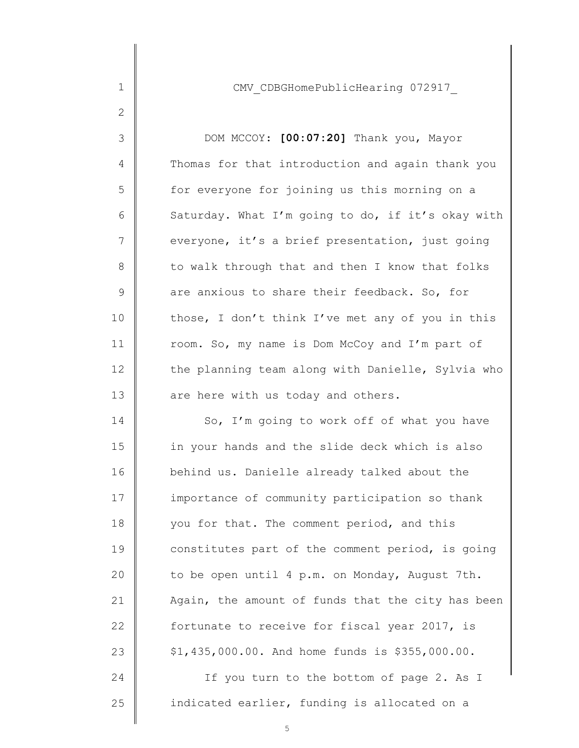CMV\_CDBGHomePublicHearing 072917\_

1

2

3

4

5

6

7

8

9

10

11

12

13

DOM MCCOY: [00:07:20] Thank you, Mayor Thomas for that introduction and again thank you for everyone for joining us this morning on a Saturday. What I'm going to do, if it's okay with everyone, it's a brief presentation, just going to walk through that and then I know that folks are anxious to share their feedback. So, for those, I don't think I've met any of you in this room. So, my name is Dom McCoy and I'm part of the planning team along with Danielle, Sylvia who are here with us today and others.

14 15 16 17 18 19 20 21 22 23 24 So, I'm going to work off of what you have in your hands and the slide deck which is also behind us. Danielle already talked about the importance of community participation so thank you for that. The comment period, and this constitutes part of the comment period, is going to be open until 4 p.m. on Monday, August 7th. Again, the amount of funds that the city has been fortunate to receive for fiscal year 2017, is \$1,435,000.00. And home funds is \$355,000.00.

25 If you turn to the bottom of page 2. As I indicated earlier, funding is allocated on a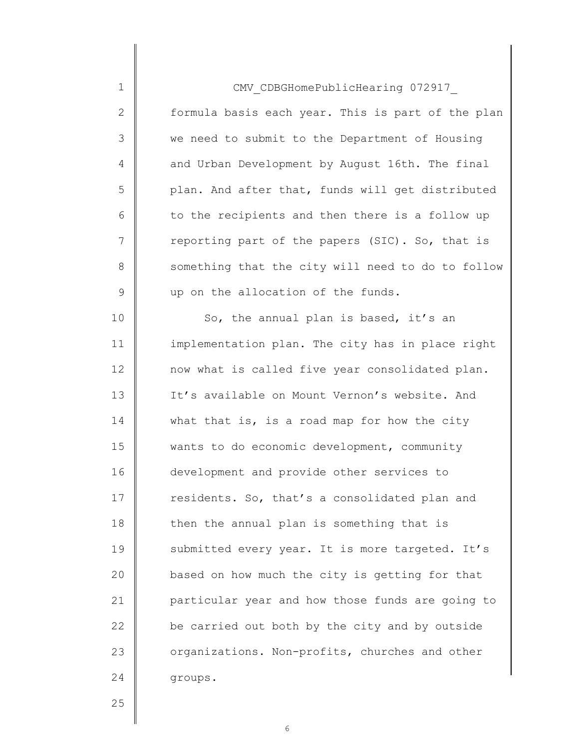| $\mathbf 1$ | CMV CDBGHomePublicHearing 072917                  |
|-------------|---------------------------------------------------|
| $\mathbf 2$ | formula basis each year. This is part of the plan |
| 3           | we need to submit to the Department of Housing    |
| 4           | and Urban Development by August 16th. The final   |
| 5           | plan. And after that, funds will get distributed  |
| 6           | to the recipients and then there is a follow up   |
| 7           | reporting part of the papers (SIC). So, that is   |
| 8           | something that the city will need to do to follow |
| 9           | up on the allocation of the funds.                |
| 10          | So, the annual plan is based, it's an             |
| 11          | implementation plan. The city has in place right  |
| 12          | now what is called five year consolidated plan.   |
| 13          | It's available on Mount Vernon's website. And     |
| 14          | what that is, is a road map for how the city      |
| 15          | wants to do economic development, community       |
| 16          | development and provide other services to         |
| 17          | residents. So, that's a consolidated plan and     |
| 18          | then the annual plan is something that is         |
| 19          | submitted every year. It is more targeted. It's   |
| 20          | based on how much the city is getting for that    |
| 21          | particular year and how those funds are going to  |
| 22          | be carried out both by the city and by outside    |
| 23          | organizations. Non-profits, churches and other    |
| 24          | groups.                                           |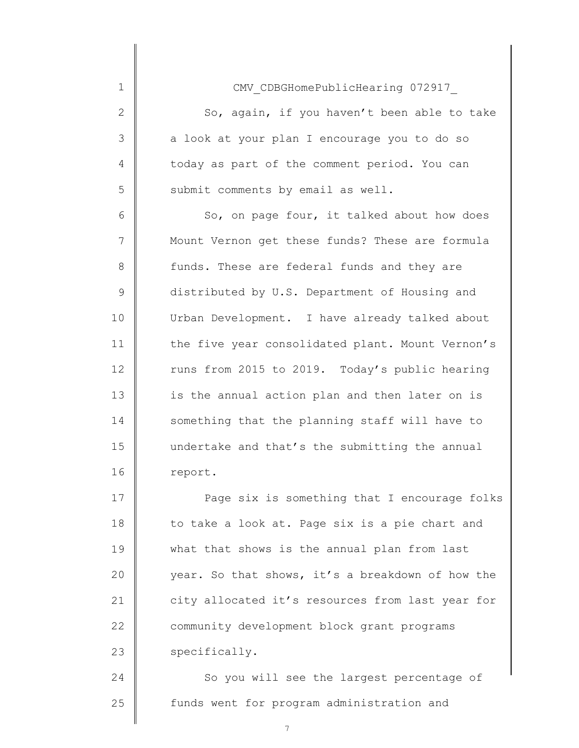| $\mathbf 1$  | CMV CDBGHomePublicHearing 072917                 |
|--------------|--------------------------------------------------|
| $\mathbf{2}$ | So, again, if you haven't been able to take      |
| 3            | a look at your plan I encourage you to do so     |
| 4            | today as part of the comment period. You can     |
| 5            | submit comments by email as well.                |
| 6            | So, on page four, it talked about how does       |
| 7            | Mount Vernon get these funds? These are formula  |
| $8\,$        | funds. These are federal funds and they are      |
| $\mathsf 9$  | distributed by U.S. Department of Housing and    |
| 10           | Urban Development. I have already talked about   |
| 11           | the five year consolidated plant. Mount Vernon's |
| 12           | runs from 2015 to 2019. Today's public hearing   |
| 13           | is the annual action plan and then later on is   |
| 14           | something that the planning staff will have to   |
| 15           | undertake and that's the submitting the annual   |
| 16           | report.                                          |
| 17           | Page six is something that I encourage folks     |
| 18           | to take a look at. Page six is a pie chart and   |
| 19           | what that shows is the annual plan from last     |
| 20           | year. So that shows, it's a breakdown of how the |
| 21           | city allocated it's resources from last year for |
| 22           | community development block grant programs       |
| 23           | specifically.                                    |
| 24           | So you will see the largest percentage of        |

 $\parallel$ 

7

funds went for program administration and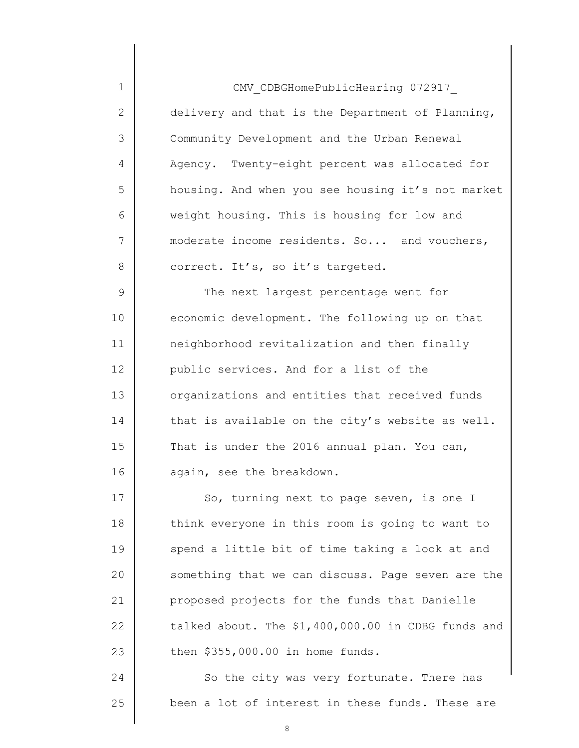| $\mathbf 1$   | CMV CDBGHomePublicHearing 072917                   |
|---------------|----------------------------------------------------|
| $\mathbf{2}$  | delivery and that is the Department of Planning,   |
| $\mathcal{S}$ | Community Development and the Urban Renewal        |
| 4             | Agency. Twenty-eight percent was allocated for     |
| 5             | housing. And when you see housing it's not market  |
| 6             | weight housing. This is housing for low and        |
| 7             | moderate income residents. So and vouchers,        |
| 8             | correct. It's, so it's targeted.                   |
| $\mathsf 9$   | The next largest percentage went for               |
| 10            | economic development. The following up on that     |
| 11            | neighborhood revitalization and then finally       |
| 12            | public services. And for a list of the             |
| 13            | organizations and entities that received funds     |
| 14            | that is available on the city's website as well.   |
| 15            | That is under the 2016 annual plan. You can,       |
| 16            | again, see the breakdown.                          |
| 17            | So, turning next to page seven, is one I           |
| 18            | think everyone in this room is going to want to    |
| 19            | spend a little bit of time taking a look at and    |
| 20            | something that we can discuss. Page seven are the  |
| 21            | proposed projects for the funds that Danielle      |
| 22            | talked about. The \$1,400,000.00 in CDBG funds and |
| 23            | then \$355,000.00 in home funds.                   |
| 24            | So the city was very fortunate. There has          |
| 25            | been a lot of interest in these funds. These are   |
|               |                                                    |

 $\parallel$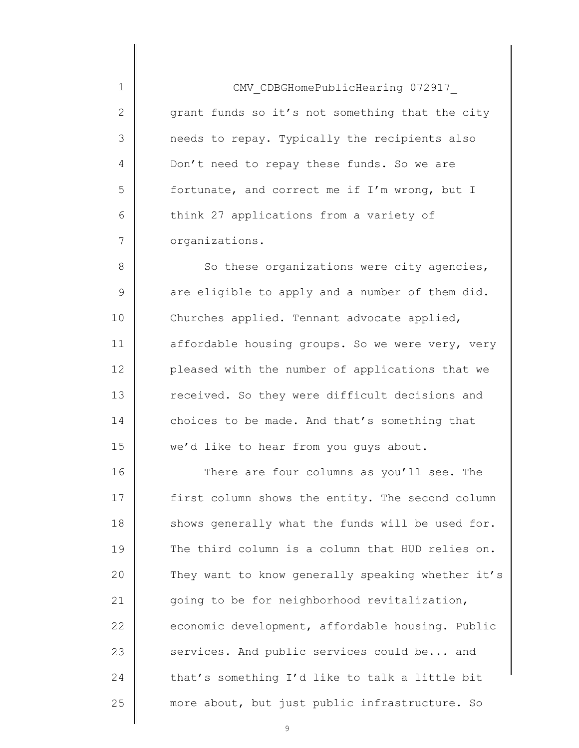CMV\_CDBGHomePublicHearing 072917\_ grant funds so it's not something that the city needs to repay. Typically the recipients also Don't need to repay these funds. So we are fortunate, and correct me if I'm wrong, but I think 27 applications from a variety of organizations.

1

2

3

4

5

6

7

8 9 10 11 12 13 14 15 So these organizations were city agencies, are eligible to apply and a number of them did. Churches applied. Tennant advocate applied, affordable housing groups. So we were very, very pleased with the number of applications that we received. So they were difficult decisions and choices to be made. And that's something that we'd like to hear from you guys about.

16 17 18 19 20 21 22 23 24 25 There are four columns as you'll see. The first column shows the entity. The second column shows generally what the funds will be used for. The third column is a column that HUD relies on. They want to know generally speaking whether it's going to be for neighborhood revitalization, economic development, affordable housing. Public services. And public services could be... and that's something I'd like to talk a little bit more about, but just public infrastructure. So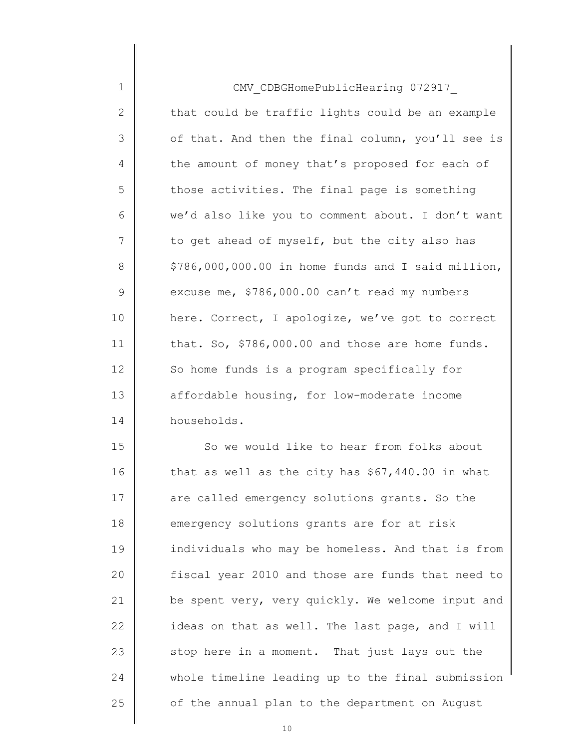| $\mathbf 1$   | CMV CDBGHomePublicHearing 072917                   |
|---------------|----------------------------------------------------|
| $\mathbf{2}$  | that could be traffic lights could be an example   |
| 3             | of that. And then the final column, you'll see is  |
| 4             | the amount of money that's proposed for each of    |
| 5             | those activities. The final page is something      |
| 6             | we'd also like you to comment about. I don't want  |
| 7             | to get ahead of myself, but the city also has      |
| 8             | \$786,000,000.00 in home funds and I said million, |
| $\mathcal{G}$ | excuse me, \$786,000.00 can't read my numbers      |
| 10            | here. Correct, I apologize, we've got to correct   |
| 11            | that. So, \$786,000.00 and those are home funds.   |
| 12            | So home funds is a program specifically for        |
| 13            | affordable housing, for low-moderate income        |
| 14            | households.                                        |
| 15            | So we would like to hear from folks about          |
| 16            | that as well as the city has \$67,440.00 in what   |
| 17            | are called emergency solutions grants. So the      |
| 18            | emergency solutions grants are for at risk         |
| 19            | individuals who may be homeless. And that is from  |
| 20            | fiscal year 2010 and those are funds that need to  |
| 21            | be spent very, very quickly. We welcome input and  |
| 22            | ideas on that as well. The last page, and I will   |
| 23            | stop here in a moment. That just lays out the      |
| 24            | whole timeline leading up to the final submission  |
| 25            | of the annual plan to the department on August     |
|               |                                                    |

 $\begin{array}{c} \hline \end{array}$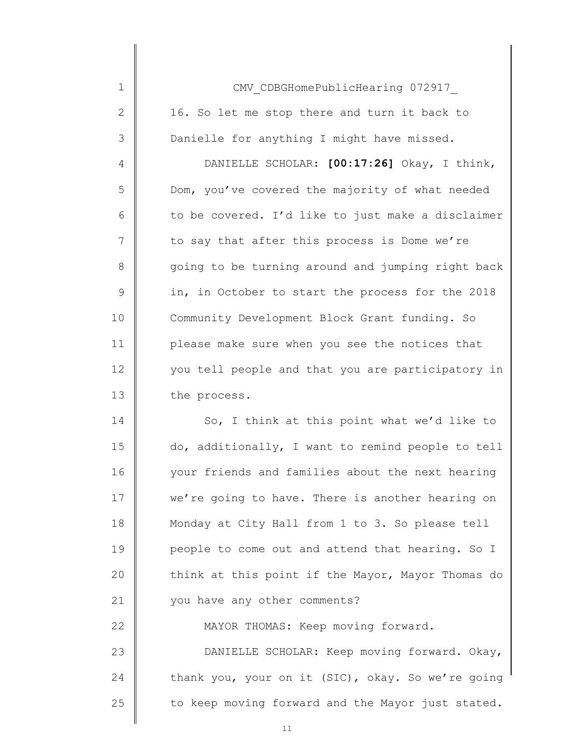| $\mathbf 1$   | CMV CDBGHomePublicHearing 072917                  |
|---------------|---------------------------------------------------|
| $\mathbf{2}$  | 16. So let me stop there and turn it back to      |
| 3             | Danielle for anything I might have missed.        |
| 4             | DANIELLE SCHOLAR: [00:17:26] Okay, I think,       |
| 5             | Dom, you've covered the majority of what needed   |
| 6             | to be covered. I'd like to just make a disclaimer |
| 7             | to say that after this process is Dome we're      |
| 8             | going to be turning around and jumping right back |
| $\mathcal{G}$ | in, in October to start the process for the 2018  |
| 10            | Community Development Block Grant funding. So     |
| 11            | please make sure when you see the notices that    |
| 12            | you tell people and that you are participatory in |
| 13            | the process.                                      |
| 14            | So, I think at this point what we'd like to       |
| 15            | do, additionally, I want to remind people to tell |
| 16            | your friends and families about the next hearing  |
| 17            | we're going to have. There is another hearing on  |
| 18            | Monday at City Hall from 1 to 3. So please tell   |
| 19            | people to come out and attend that hearing. So I  |

you have any other comments?

20

21

22

MAYOR THOMAS: Keep moving forward.

think at this point if the Mayor, Mayor Thomas do

23 24 25 DANIELLE SCHOLAR: Keep moving forward. Okay, thank you, your on it (SIC), okay. So we're going to keep moving forward and the Mayor just stated.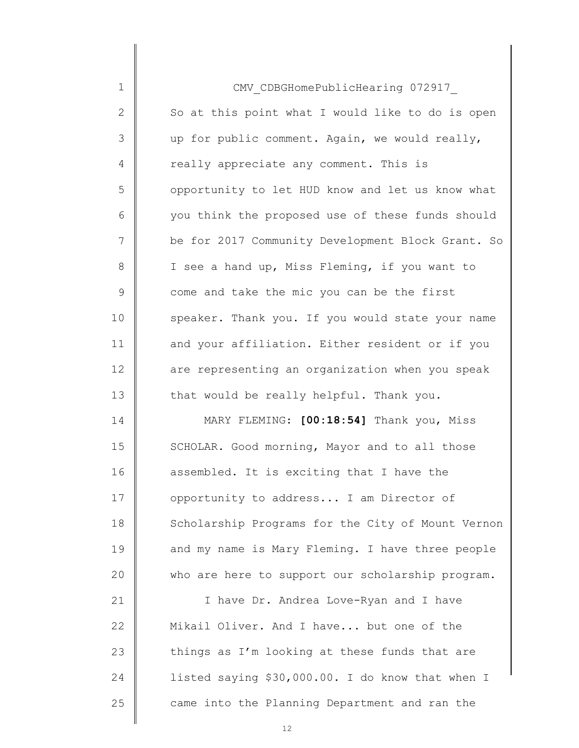| $\mathbf 1$   | CMV CDBGHomePublicHearing 072917                  |
|---------------|---------------------------------------------------|
| $\mathbf{2}$  | So at this point what I would like to do is open  |
| 3             | up for public comment. Again, we would really,    |
| 4             | really appreciate any comment. This is            |
| 5             | opportunity to let HUD know and let us know what  |
| 6             | you think the proposed use of these funds should  |
| 7             | be for 2017 Community Development Block Grant. So |
| 8             | I see a hand up, Miss Fleming, if you want to     |
| $\mathcal{G}$ | come and take the mic you can be the first        |
| 10            | speaker. Thank you. If you would state your name  |
| 11            | and your affiliation. Either resident or if you   |
| 12            | are representing an organization when you speak   |
| 13            | that would be really helpful. Thank you.          |
| 14            | MARY FLEMING: [00:18:54] Thank you, Miss          |
| 15            | SCHOLAR. Good morning, Mayor and to all those     |
| 16            | assembled. It is exciting that I have the         |
| 17            | opportunity to address I am Director of           |
| 18            | Scholarship Programs for the City of Mount Vernon |
| 19            | and my name is Mary Fleming. I have three people  |
| 20            | who are here to support our scholarship program.  |
| 21            | I have Dr. Andrea Love-Ryan and I have            |
| 22            | Mikail Oliver. And I have but one of the          |
| 23            | things as I'm looking at these funds that are     |
| 24            | listed saying \$30,000.00. I do know that when I  |
| 25            | came into the Planning Department and ran the     |
|               |                                                   |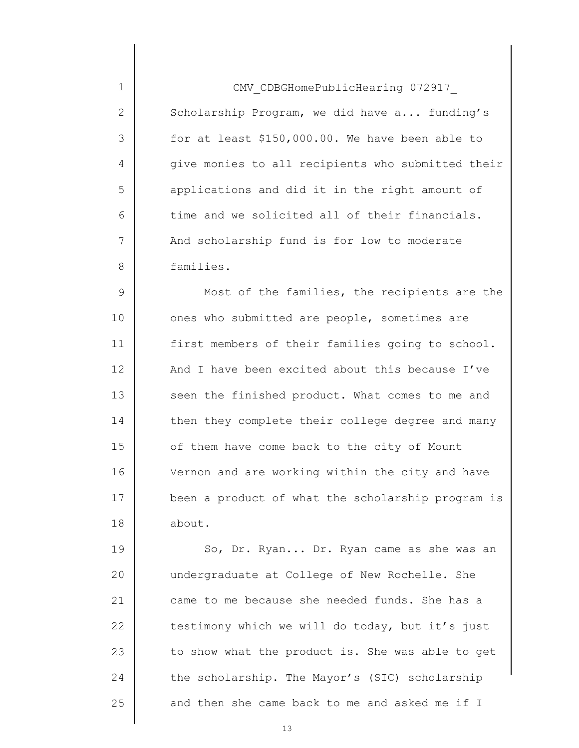| 1              | CMV CDBGHomePublicHearing 072917                  |
|----------------|---------------------------------------------------|
| $\overline{2}$ | Scholarship Program, we did have a funding's      |
| 3              | for at least \$150,000.00. We have been able to   |
| 4              | give monies to all recipients who submitted their |
| 5              | applications and did it in the right amount of    |
| 6              | time and we solicited all of their financials.    |
| 7              | And scholarship fund is for low to moderate       |
| 8              | families.                                         |
| 9              | Most of the families, the recipients are the      |
| 10             | ones who submitted are people, sometimes are      |
| 11             | first members of their families going to school.  |
| 12             | And I have been excited about this because I've   |
| 13             | seen the finished product. What comes to me and   |
| 14             | then they complete their college degree and many  |
| 15             | of them have come back to the city of Mount       |
| 16             | Vernon and are working within the city and have   |
| 17             | been a product of what the scholarship program is |
| 18             | about.                                            |
|                |                                                   |

19 20 21 22 23 24 25 So, Dr. Ryan... Dr. Ryan came as she was an undergraduate at College of New Rochelle. She came to me because she needed funds. She has a testimony which we will do today, but it's just to show what the product is. She was able to get the scholarship. The Mayor's (SIC) scholarship and then she came back to me and asked me if I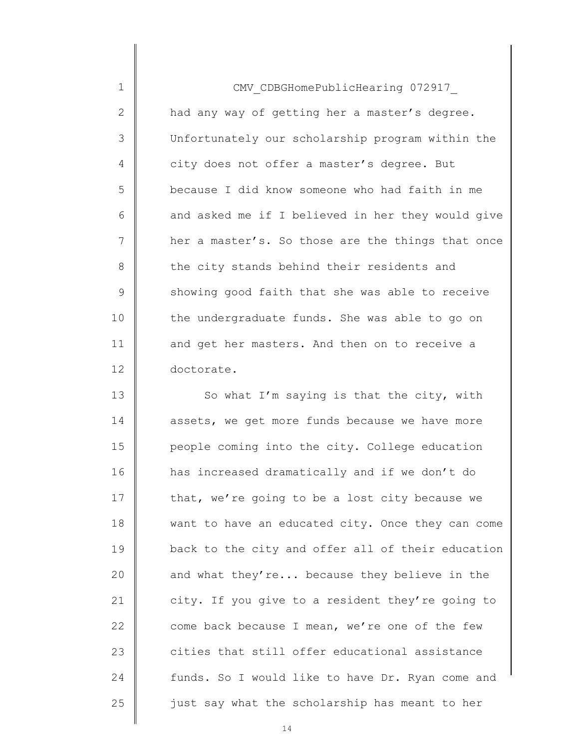| $\mathbf{1}$   | CMV CDBGHomePublicHearing 072917                  |
|----------------|---------------------------------------------------|
| $\overline{2}$ | had any way of getting her a master's degree.     |
| 3              | Unfortunately our scholarship program within the  |
| 4              | city does not offer a master's degree. But        |
| 5              | because I did know someone who had faith in me    |
| 6              | and asked me if I believed in her they would give |
| 7              | her a master's. So those are the things that once |
| 8              | the city stands behind their residents and        |
| 9              | showing good faith that she was able to receive   |
| 10             | the undergraduate funds. She was able to go on    |
| 11             | and get her masters. And then on to receive a     |
| 12             | doctorate.                                        |

13 14 15 16 17 18 19 20 21 22 23 24 25 So what I'm saying is that the city, with assets, we get more funds because we have more people coming into the city. College education has increased dramatically and if we don't do that, we're going to be a lost city because we want to have an educated city. Once they can come back to the city and offer all of their education and what they're... because they believe in the city. If you give to a resident they're going to come back because I mean, we're one of the few cities that still offer educational assistance funds. So I would like to have Dr. Ryan come and just say what the scholarship has meant to her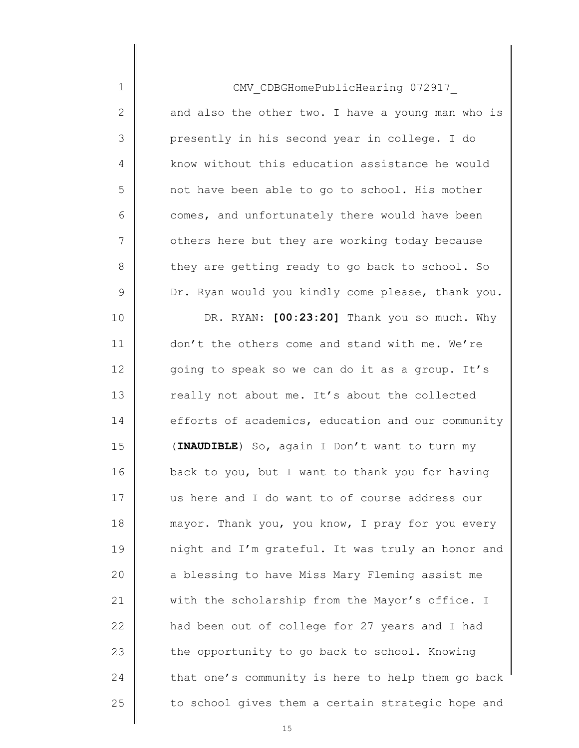| $\mathbf 1$ | CMV CDBGHomePublicHearing 072917                  |
|-------------|---------------------------------------------------|
| 2           | and also the other two. I have a young man who is |
| 3           | presently in his second year in college. I do     |
| 4           | know without this education assistance he would   |
| 5           | not have been able to go to school. His mother    |
| 6           | comes, and unfortunately there would have been    |
| 7           | others here but they are working today because    |
| 8           | they are getting ready to go back to school. So   |
| $\mathsf 9$ | Dr. Ryan would you kindly come please, thank you. |
| 10          | DR. RYAN: [00:23:20] Thank you so much. Why       |
| 11          | don't the others come and stand with me. We're    |
| 12          | going to speak so we can do it as a group. It's   |
| 13          | really not about me. It's about the collected     |
| 14          | efforts of academics, education and our community |
| 15          | (INAUDIBLE) So, again I Don't want to turn my     |
| 16          | back to you, but I want to thank you for having   |
| 17          | us here and I do want to of course address our    |
| 18          | mayor. Thank you, you know, I pray for you every  |
| 19          | night and I'm grateful. It was truly an honor and |
| 20          | a blessing to have Miss Mary Fleming assist me    |
| 21          | with the scholarship from the Mayor's office. I   |
| 22          | had been out of college for 27 years and I had    |
| 23          | the opportunity to go back to school. Knowing     |
| 24          | that one's community is here to help them go back |
| 25          | to school gives them a certain strategic hope and |
|             |                                                   |

 $\begin{array}{c} \hline \end{array}$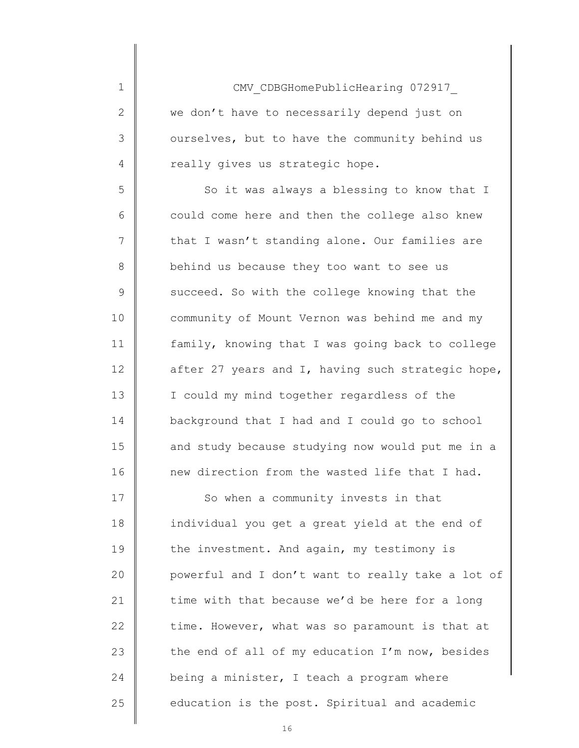CMV\_CDBGHomePublicHearing 072917\_ we don't have to necessarily depend just on ourselves, but to have the community behind us really gives us strategic hope.

1

2

3

4

5

6

7

8

9

10

11

12

13

14

15

16

So it was always a blessing to know that I could come here and then the college also knew that I wasn't standing alone. Our families are behind us because they too want to see us succeed. So with the college knowing that the community of Mount Vernon was behind me and my family, knowing that I was going back to college after 27 years and I, having such strategic hope, I could my mind together regardless of the background that I had and I could go to school and study because studying now would put me in a new direction from the wasted life that I had.

17 18 19 20 21 22 23 24 25 So when a community invests in that individual you get a great yield at the end of the investment. And again, my testimony is powerful and I don't want to really take a lot of time with that because we'd be here for a long time. However, what was so paramount is that at the end of all of my education I'm now, besides being a minister, I teach a program where education is the post. Spiritual and academic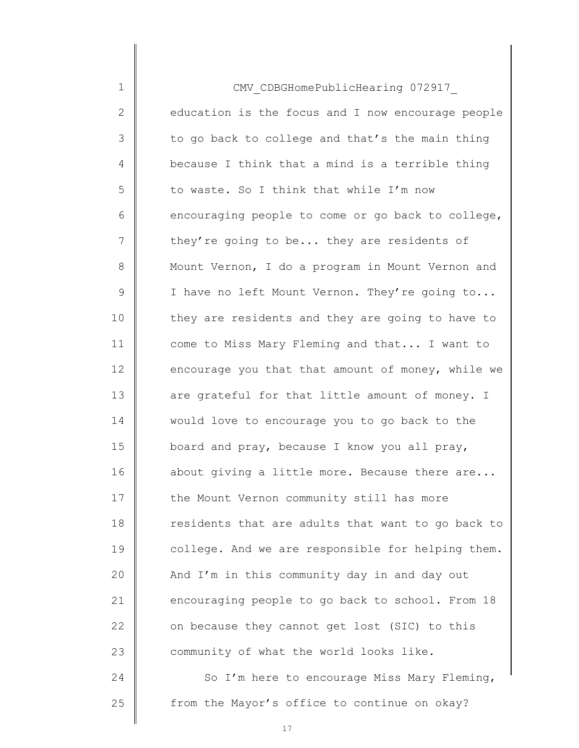| $\mathbf 1$  | CMV CDBGHomePublicHearing 072917                  |
|--------------|---------------------------------------------------|
| $\mathbf{2}$ | education is the focus and I now encourage people |
| 3            | to go back to college and that's the main thing   |
| 4            | because I think that a mind is a terrible thing   |
| 5            | to waste. So I think that while I'm now           |
| 6            | encouraging people to come or go back to college, |
| 7            | they're going to be they are residents of         |
| 8            | Mount Vernon, I do a program in Mount Vernon and  |
| 9            | I have no left Mount Vernon. They're going to     |
| 10           | they are residents and they are going to have to  |
| 11           | come to Miss Mary Fleming and that I want to      |
| 12           | encourage you that that amount of money, while we |
| 13           | are grateful for that little amount of money. I   |
| 14           | would love to encourage you to go back to the     |
| 15           | board and pray, because I know you all pray,      |
| 16           | about giving a little more. Because there are     |
| 17           | the Mount Vernon community still has more         |
| 18           | residents that are adults that want to go back to |
| 19           | college. And we are responsible for helping them. |
| 20           | And I'm in this community day in and day out      |
| 21           | encouraging people to go back to school. From 18  |
| 22           | on because they cannot get lost (SIC) to this     |
| 23           | community of what the world looks like.           |
| 24           | So I'm here to encourage Miss Mary Fleming,       |
| 25           | from the Mayor's office to continue on okay?      |

∥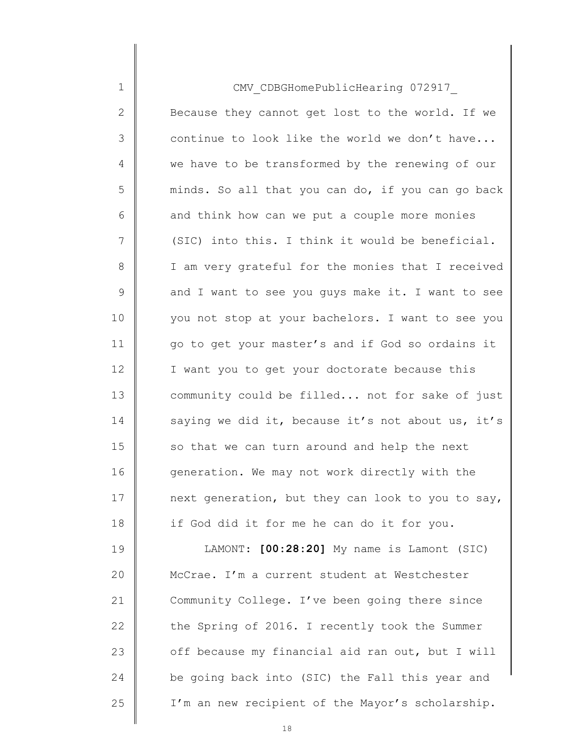| $\mathbf 1$    | CMV CDBGHomePublicHearing 072917                  |
|----------------|---------------------------------------------------|
| $\mathbf{2}$   | Because they cannot get lost to the world. If we  |
| 3              | continue to look like the world we don't have     |
| $\overline{4}$ | we have to be transformed by the renewing of our  |
| 5              | minds. So all that you can do, if you can go back |
| 6              | and think how can we put a couple more monies     |
| 7              | (SIC) into this. I think it would be beneficial.  |
| $8\,$          | I am very grateful for the monies that I received |
| $\mathsf 9$    | and I want to see you guys make it. I want to see |
| 10             | you not stop at your bachelors. I want to see you |
| 11             | go to get your master's and if God so ordains it  |
| 12             | I want you to get your doctorate because this     |
| 13             | community could be filled not for sake of just    |
| 14             | saying we did it, because it's not about us, it's |
| 15             | so that we can turn around and help the next      |
| 16             | generation. We may not work directly with the     |
| 17             | next generation, but they can look to you to say, |
| 18             | if God did it for me he can do it for you.        |
| 19             | LAMONT: [00:28:20] My name is Lamont (SIC)        |
| 20             | McCrae. I'm a current student at Westchester      |
| 21             | Community College. I've been going there since    |
| 22             | the Spring of 2016. I recently took the Summer    |
| 23             | off because my financial aid ran out, but I will  |
| 24             | be going back into (SIC) the Fall this year and   |
| 25             | I'm an new recipient of the Mayor's scholarship.  |

 $\parallel$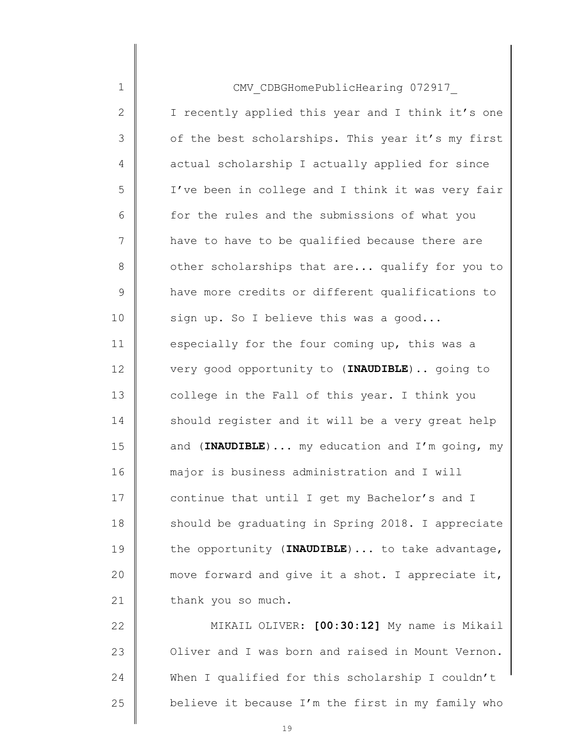| $\mathbf 1$   | CMV CDBGHomePublicHearing 072917                  |
|---------------|---------------------------------------------------|
| $\mathbf{2}$  | I recently applied this year and I think it's one |
| 3             | of the best scholarships. This year it's my first |
| 4             | actual scholarship I actually applied for since   |
| 5             | I've been in college and I think it was very fair |
| 6             | for the rules and the submissions of what you     |
| 7             | have to have to be qualified because there are    |
| 8             | other scholarships that are qualify for you to    |
| $\mathcal{G}$ | have more credits or different qualifications to  |
| 10            | sign up. So I believe this was a good             |
| 11            | especially for the four coming up, this was a     |
| 12            | very good opportunity to (INAUDIBLE)  going to    |
| 13            | college in the Fall of this year. I think you     |
| 14            | should register and it will be a very great help  |
| 15            | and (INAUDIBLE) my education and I'm going, my    |
| 16            | major is business administration and I will       |
| 17            | continue that until I get my Bachelor's and I     |
| 18            | should be graduating in Spring 2018. I appreciate |
| 19            | the opportunity (INAUDIBLE)  to take advantage,   |
| 20            | move forward and give it a shot. I appreciate it, |
| 21            | thank you so much.                                |
| 22            | MIKAIL OLIVER: [00:30:12] My name is Mikail       |
| 23            | Oliver and I was born and raised in Mount Vernon. |
| 24            | When I qualified for this scholarship I couldn't  |

believe it because I'm the first in my family who

25

 $\parallel$  $\parallel$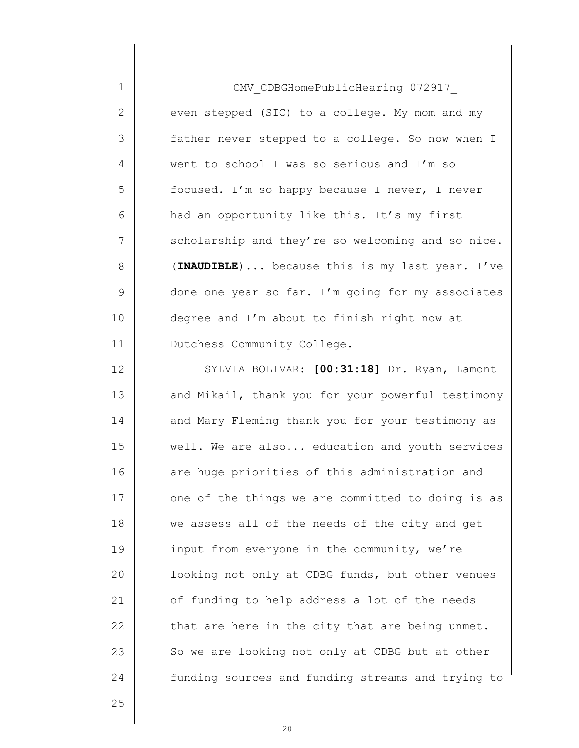| $\mathbf{1}$   | CMV CDBGHomePublicHearing 072917                  |
|----------------|---------------------------------------------------|
| $\overline{2}$ | even stepped (SIC) to a college. My mom and my    |
| 3              | father never stepped to a college. So now when I  |
| 4              | went to school I was so serious and I'm so        |
| 5              | focused. I'm so happy because I never, I never    |
| 6              | had an opportunity like this. It's my first       |
| 7              | scholarship and they're so welcoming and so nice. |
| 8              | (INAUDIBLE)  because this is my last year. I've   |
| 9              | done one year so far. I'm going for my associates |
| 10             | degree and I'm about to finish right now at       |
| 11             | Dutchess Community College.                       |
|                |                                                   |

12 13 14 15 16 17 18 19 20 21 22 23 24 SYLVIA BOLIVAR: [00:31:18] Dr. Ryan, Lamont and Mikail, thank you for your powerful testimony and Mary Fleming thank you for your testimony as well. We are also... education and youth services are huge priorities of this administration and one of the things we are committed to doing is as we assess all of the needs of the city and get input from everyone in the community, we're looking not only at CDBG funds, but other venues of funding to help address a lot of the needs that are here in the city that are being unmet. So we are looking not only at CDBG but at other funding sources and funding streams and trying to

25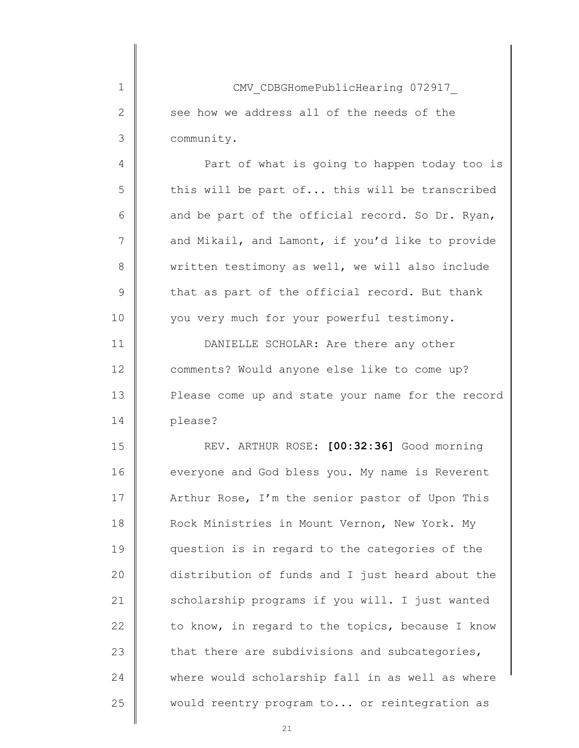CMV\_CDBGHomePublicHearing 072917\_ see how we address all of the needs of the community.

1

2

3

4

5

6

7

8

9

10

Part of what is going to happen today too is this will be part of... this will be transcribed and be part of the official record. So Dr. Ryan, and Mikail, and Lamont, if you'd like to provide written testimony as well, we will also include that as part of the official record. But thank you very much for your powerful testimony.

11 12 13 14 DANIELLE SCHOLAR: Are there any other comments? Would anyone else like to come up? Please come up and state your name for the record please?

15 16 17 18 19 20 21 22 23 24 25 REV. ARTHUR ROSE: [00:32:36] Good morning everyone and God bless you. My name is Reverent Arthur Rose, I'm the senior pastor of Upon This Rock Ministries in Mount Vernon, New York. My question is in regard to the categories of the distribution of funds and I just heard about the scholarship programs if you will. I just wanted to know, in regard to the topics, because I know that there are subdivisions and subcategories, where would scholarship fall in as well as where would reentry program to... or reintegration as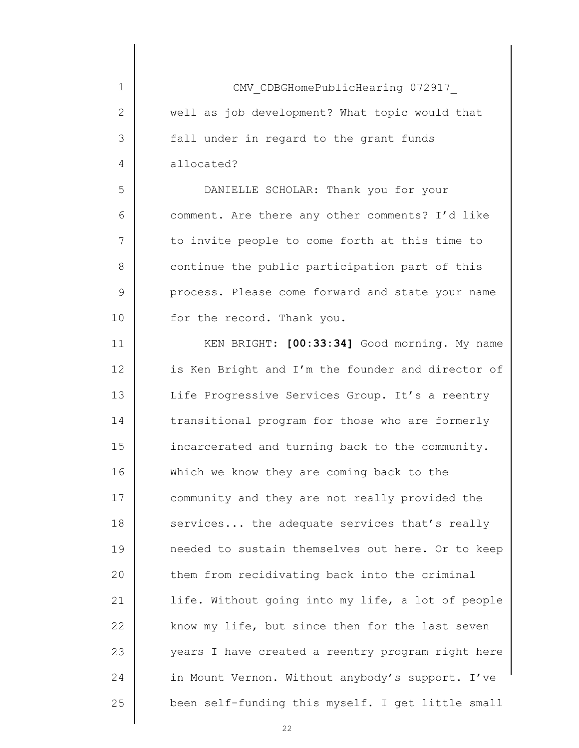| 1  | CMV CDBGHomePublicHearing 072917                  |
|----|---------------------------------------------------|
| 2  | well as job development? What topic would that    |
| 3  | fall under in regard to the grant funds           |
| 4  | allocated?                                        |
| 5  | DANIELLE SCHOLAR: Thank you for your              |
| 6  | comment. Are there any other comments? I'd like   |
| 7  | to invite people to come forth at this time to    |
| 8  | continue the public participation part of this    |
| 9  | process. Please come forward and state your name  |
| 10 | for the record. Thank you.                        |
| 11 | KEN BRIGHT: [00:33:34] Good morning. My name      |
| 12 | is Ken Bright and I'm the founder and director of |
| 13 | Life Progressive Services Group. It's a reentry   |
| 14 | transitional program for those who are formerly   |
| 15 | incarcerated and turning back to the community.   |
| 16 | Which we know they are coming back to the         |
| 17 | community and they are not really provided the    |
| 18 | services the adequate services that's really      |
| 19 | needed to sustain themselves out here. Or to keep |
| 20 | them from recidivating back into the criminal     |
| 21 | life. Without going into my life, a lot of people |
| 22 | know my life, but since then for the last seven   |
| 23 | years I have created a reentry program right here |
| 24 | in Mount Vernon. Without anybody's support. I've  |
| 25 | been self-funding this myself. I get little small |
|    |                                                   |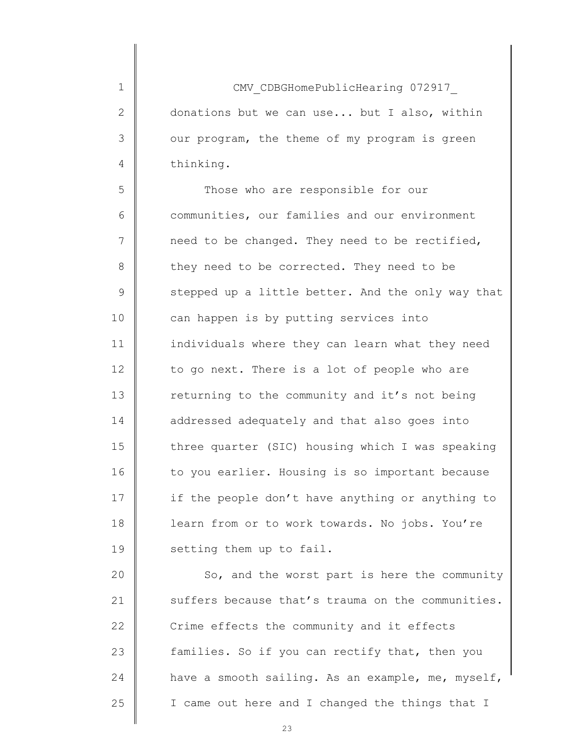CMV\_CDBGHomePublicHearing 072917\_ donations but we can use... but I also, within our program, the theme of my program is green thinking.

1

2

3

4

5 6 7 8 9 10 11 12 13 14 15 16 17 18 19 Those who are responsible for our communities, our families and our environment need to be changed. They need to be rectified, they need to be corrected. They need to be stepped up a little better. And the only way that can happen is by putting services into individuals where they can learn what they need to go next. There is a lot of people who are returning to the community and it's not being addressed adequately and that also goes into three quarter (SIC) housing which I was speaking to you earlier. Housing is so important because if the people don't have anything or anything to learn from or to work towards. No jobs. You're setting them up to fail.

 $20$ 21 22 23 24 25 So, and the worst part is here the community suffers because that's trauma on the communities. Crime effects the community and it effects families. So if you can rectify that, then you have a smooth sailing. As an example, me, myself, I came out here and I changed the things that I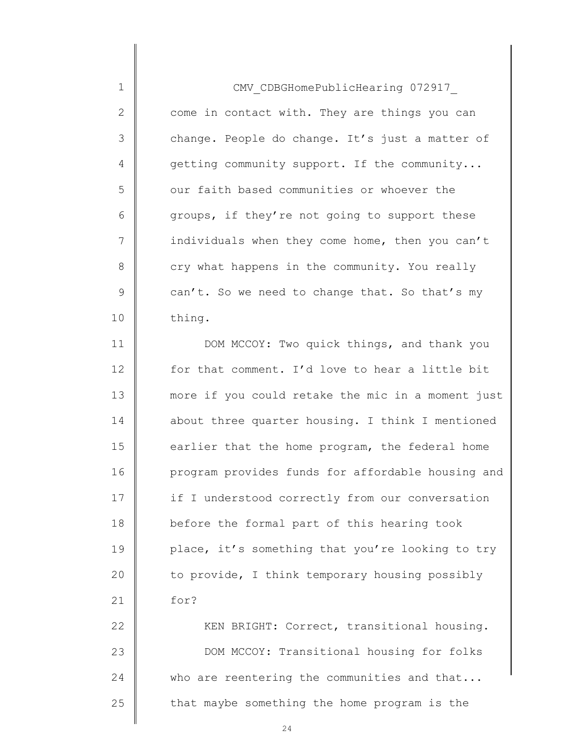CMV\_CDBGHomePublicHearing 072917\_ come in contact with. They are things you can change. People do change. It's just a matter of getting community support. If the community... our faith based communities or whoever the groups, if they're not going to support these individuals when they come home, then you can't cry what happens in the community. You really can't. So we need to change that. So that's my thing.

1

2

3

4

5

6

7

8

9

10

11 12 13 14 15 16 17 18 19 20 21 DOM MCCOY: Two quick things, and thank you for that comment. I'd love to hear a little bit more if you could retake the mic in a moment just about three quarter housing. I think I mentioned earlier that the home program, the federal home program provides funds for affordable housing and if I understood correctly from our conversation before the formal part of this hearing took place, it's something that you're looking to try to provide, I think temporary housing possibly for?

22 23 24 25 KEN BRIGHT: Correct, transitional housing. DOM MCCOY: Transitional housing for folks who are reentering the communities and that... that maybe something the home program is the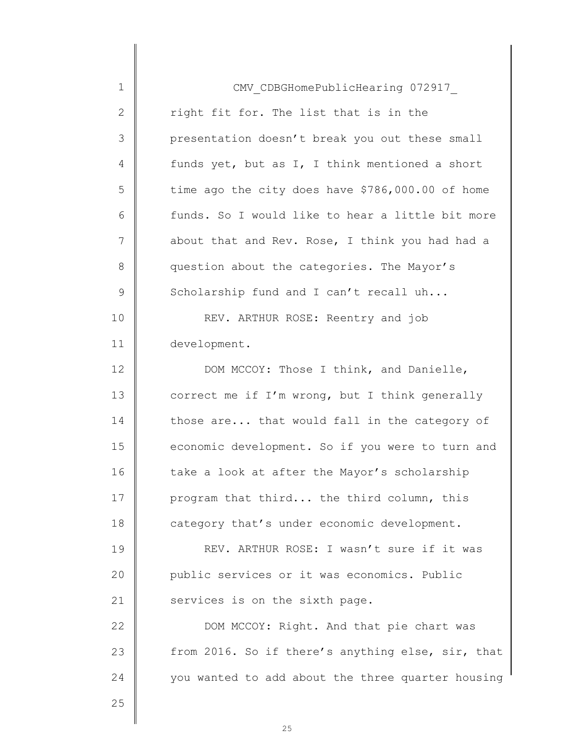| 1            | CMV CDBGHomePublicHearing 072917                  |
|--------------|---------------------------------------------------|
| $\mathbf{2}$ | right fit for. The list that is in the            |
| 3            | presentation doesn't break you out these small    |
| 4            | funds yet, but as I, I think mentioned a short    |
| 5            | time ago the city does have \$786,000.00 of home  |
| 6            | funds. So I would like to hear a little bit more  |
| 7            | about that and Rev. Rose, I think you had had a   |
| 8            | question about the categories. The Mayor's        |
| 9            | Scholarship fund and I can't recall uh            |
| 10           | REV. ARTHUR ROSE: Reentry and job                 |
| 11           | development.                                      |
| 12           | DOM MCCOY: Those I think, and Danielle,           |
| 13           | correct me if I'm wrong, but I think generally    |
| 14           | those are that would fall in the category of      |
| 15           | economic development. So if you were to turn and  |
| 16           | take a look at after the Mayor's scholarship      |
| 17           | program that third the third column, this         |
| 18           | category that's under economic development.       |
| 19           | REV. ARTHUR ROSE: I wasn't sure if it was         |
| 20           | public services or it was economics. Public       |
| 21           | services is on the sixth page.                    |
| 22           | DOM MCCOY: Right. And that pie chart was          |
| 23           | from 2016. So if there's anything else, sir, that |
| 24           | you wanted to add about the three quarter housing |
| 25           |                                                   |
|              |                                                   |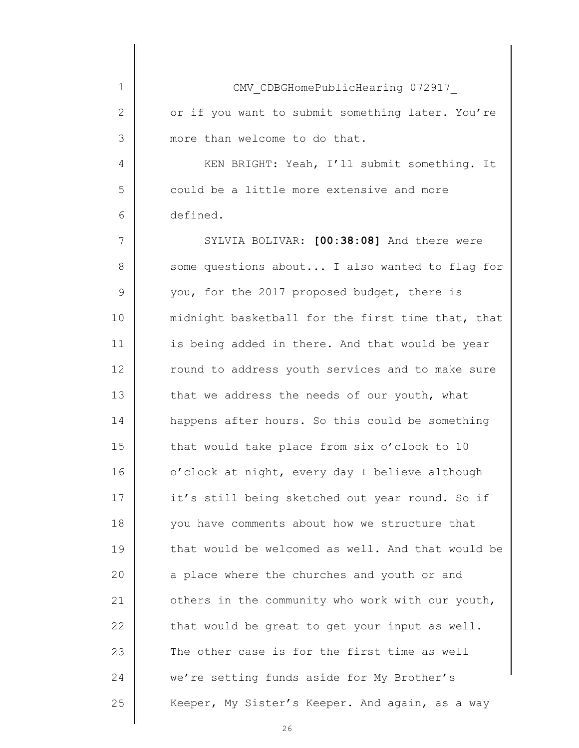| 1             | CMV CDBGHomePublicHearing 072917                  |
|---------------|---------------------------------------------------|
| $\mathbf{2}$  | or if you want to submit something later. You're  |
| 3             | more than welcome to do that.                     |
| 4             | KEN BRIGHT: Yeah, I'll submit something. It       |
| 5             | could be a little more extensive and more         |
| 6             | defined.                                          |
| 7             | SYLVIA BOLIVAR: [00:38:08] And there were         |
| 8             | some questions about I also wanted to flag for    |
| $\mathcal{G}$ | you, for the 2017 proposed budget, there is       |
| 10            | midnight basketball for the first time that, that |
| 11            | is being added in there. And that would be year   |
| 12            | round to address youth services and to make sure  |
| 13            | that we address the needs of our youth, what      |
| 14            | happens after hours. So this could be something   |
| 15            | that would take place from six o'clock to 10      |
| 16            | o'clock at night, every day I believe although    |
| 17            | it's still being sketched out year round. So if   |
| 18            | you have comments about how we structure that     |
| 19            | that would be welcomed as well. And that would be |
| 20            | a place where the churches and youth or and       |
| 21            | others in the community who work with our youth,  |
| 22            | that would be great to get your input as well.    |
| 23            | The other case is for the first time as well      |
| 24            | we're setting funds aside for My Brother's        |
| 25            | Keeper, My Sister's Keeper. And again, as a way   |
|               |                                                   |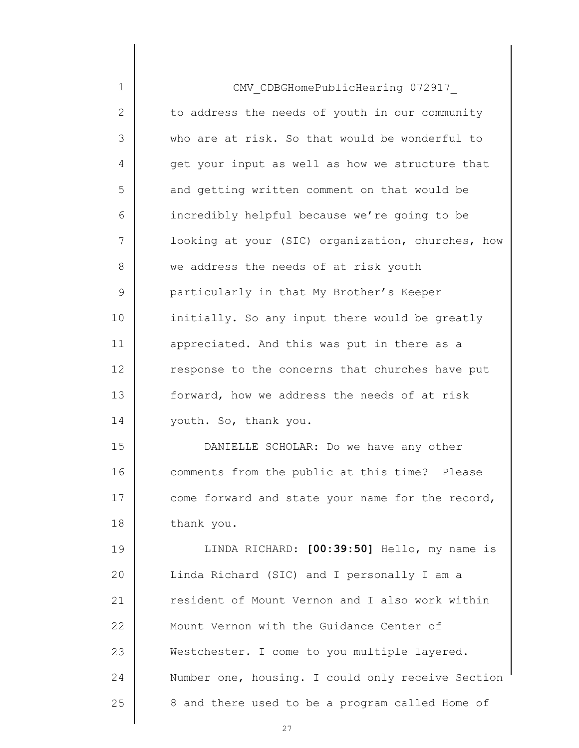| $\mathbf 1$   | CMV CDBGHomePublicHearing 072917                  |
|---------------|---------------------------------------------------|
| $\mathbf{2}$  | to address the needs of youth in our community    |
| 3             | who are at risk. So that would be wonderful to    |
| 4             | get your input as well as how we structure that   |
| 5             | and getting written comment on that would be      |
| 6             | incredibly helpful because we're going to be      |
| 7             | looking at your (SIC) organization, churches, how |
| 8             | we address the needs of at risk youth             |
| $\mathcal{G}$ | particularly in that My Brother's Keeper          |
| 10            | initially. So any input there would be greatly    |
| 11            | appreciated. And this was put in there as a       |
| 12            | response to the concerns that churches have put   |
| 13            | forward, how we address the needs of at risk      |
| 14            | youth. So, thank you.                             |
| 15            | DANIELLE SCHOLAR: Do we have any other            |
| 16            | comments from the public at this time? Please     |
| 17            | come forward and state your name for the record,  |
| 18            | thank you.                                        |
| 19            | LINDA RICHARD: [00:39:50] Hello, my name is       |
| 20            | Linda Richard (SIC) and I personally I am a       |
| 21            | resident of Mount Vernon and I also work within   |
| 22            | Mount Vernon with the Guidance Center of          |
| 23            | Westchester. I come to you multiple layered.      |
| 24            | Number one, housing. I could only receive Section |
| 25            | 8 and there used to be a program called Home of   |
|               |                                                   |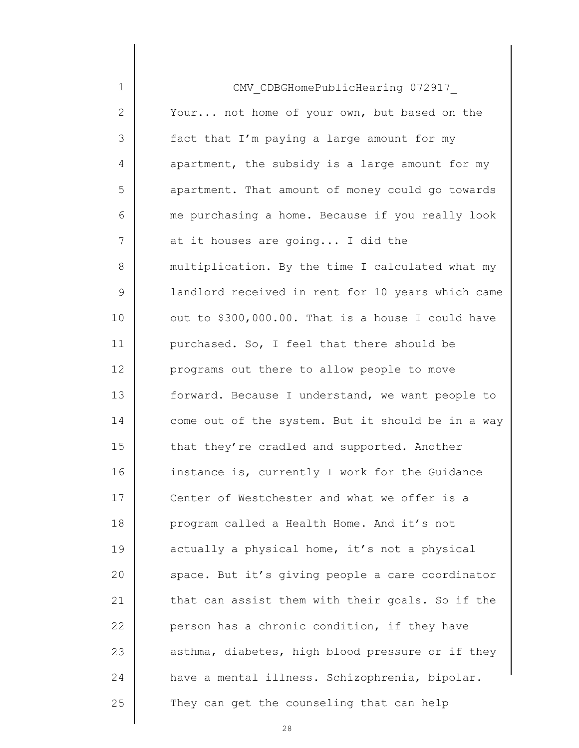| $\mathbf 1$    | CMV CDBGHomePublicHearing 072917                  |
|----------------|---------------------------------------------------|
| 2              | Your not home of your own, but based on the       |
| 3              | fact that I'm paying a large amount for my        |
| 4              | apartment, the subsidy is a large amount for my   |
| 5              | apartment. That amount of money could go towards  |
| 6              | me purchasing a home. Because if you really look  |
| $7\phantom{.}$ | at it houses are going I did the                  |
| 8              | multiplication. By the time I calculated what my  |
| $\mathsf 9$    | landlord received in rent for 10 years which came |
| 10             | out to \$300,000.00. That is a house I could have |
| 11             | purchased. So, I feel that there should be        |
| 12             | programs out there to allow people to move        |
| 13             | forward. Because I understand, we want people to  |
| 14             | come out of the system. But it should be in a way |
| 15             | that they're cradled and supported. Another       |
| 16             | instance is, currently I work for the Guidance    |
| 17             | Center of Westchester and what we offer is a      |
| 18             | program called a Health Home. And it's not        |
| 19             | actually a physical home, it's not a physical     |
| 20             | space. But it's giving people a care coordinator  |
| 21             | that can assist them with their goals. So if the  |
| 22             | person has a chronic condition, if they have      |
| 23             | asthma, diabetes, high blood pressure or if they  |
| 24             | have a mental illness. Schizophrenia, bipolar.    |
| 25             | They can get the counseling that can help         |
|                |                                                   |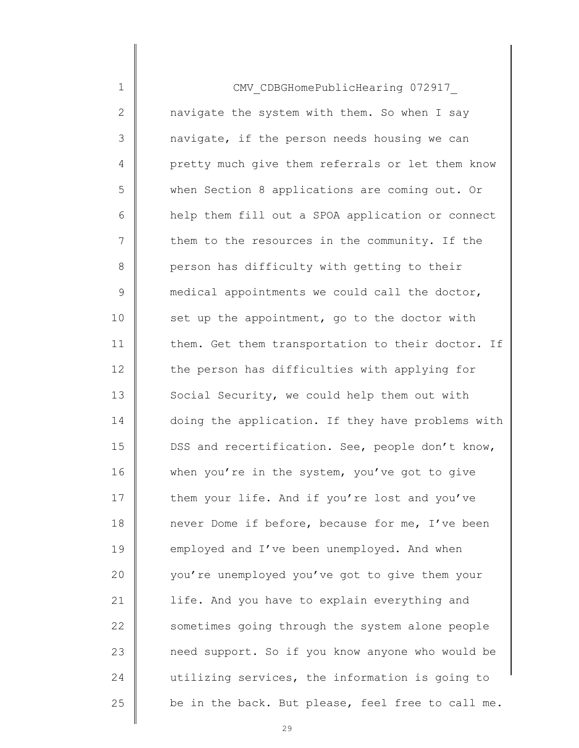| $\mathbf 1$   | CMV CDBGHomePublicHearing 072917                  |
|---------------|---------------------------------------------------|
| $\mathbf 2$   | navigate the system with them. So when I say      |
| $\mathcal{S}$ | navigate, if the person needs housing we can      |
| 4             | pretty much give them referrals or let them know  |
| 5             | when Section 8 applications are coming out. Or    |
| 6             | help them fill out a SPOA application or connect  |
| 7             | them to the resources in the community. If the    |
| 8             | person has difficulty with getting to their       |
| $\mathsf 9$   | medical appointments we could call the doctor,    |
| 10            | set up the appointment, go to the doctor with     |
| 11            | them. Get them transportation to their doctor. If |
| 12            | the person has difficulties with applying for     |
| 13            | Social Security, we could help them out with      |
| 14            | doing the application. If they have problems with |
| 15            | DSS and recertification. See, people don't know,  |
| 16            | when you're in the system, you've got to give     |
| 17            | them your life. And if you're lost and you've     |
| 18            | never Dome if before, because for me, I've been   |
| 19            | employed and I've been unemployed. And when       |
| 20            | you're unemployed you've got to give them your    |
| 21            | life. And you have to explain everything and      |
| 22            | sometimes going through the system alone people   |
| 23            | need support. So if you know anyone who would be  |
| 24            | utilizing services, the information is going to   |
| 25            | be in the back. But please, feel free to call me. |
|               |                                                   |

 $\mathsf{l}$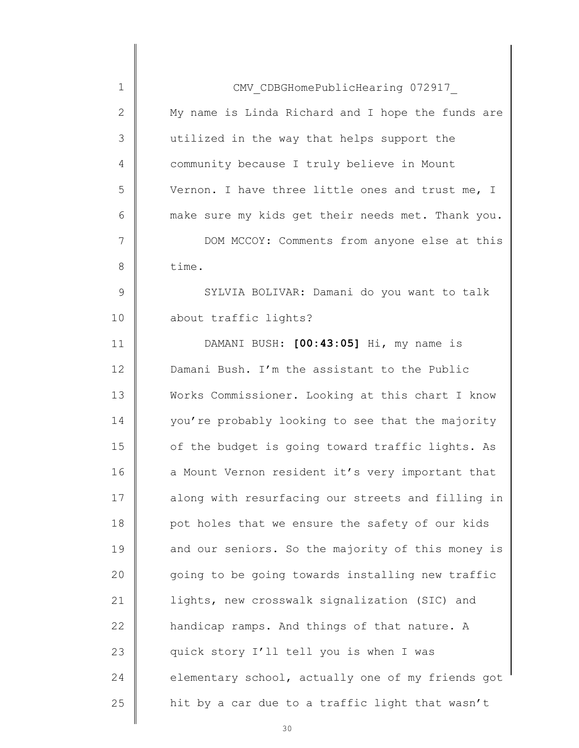| $\mathbf 1$  | CMV CDBGHomePublicHearing 072917                  |
|--------------|---------------------------------------------------|
| $\mathbf{2}$ | My name is Linda Richard and I hope the funds are |
| 3            | utilized in the way that helps support the        |
| 4            | community because I truly believe in Mount        |
| 5            | Vernon. I have three little ones and trust me, I  |
| 6            | make sure my kids get their needs met. Thank you. |
| 7            | DOM MCCOY: Comments from anyone else at this      |
| 8            | time.                                             |
| 9            | SYLVIA BOLIVAR: Damani do you want to talk        |
| 10           | about traffic lights?                             |
| 11           | DAMANI BUSH: [00:43:05] Hi, my name is            |
| 12           | Damani Bush. I'm the assistant to the Public      |
| 13           | Works Commissioner. Looking at this chart I know  |
| 14           | you're probably looking to see that the majority  |
| 15           | of the budget is going toward traffic lights. As  |
| 16           | a Mount Vernon resident it's very important that  |
| 17           | along with resurfacing our streets and filling in |
| 18           | pot holes that we ensure the safety of our kids   |
| 19           | and our seniors. So the majority of this money is |
| 20           | going to be going towards installing new traffic  |
| 21           | lights, new crosswalk signalization (SIC) and     |
| 22           | handicap ramps. And things of that nature. A      |
| 23           | quick story I'll tell you is when I was           |
| 24           | elementary school, actually one of my friends got |
| 25           | hit by a car due to a traffic light that wasn't   |
|              |                                                   |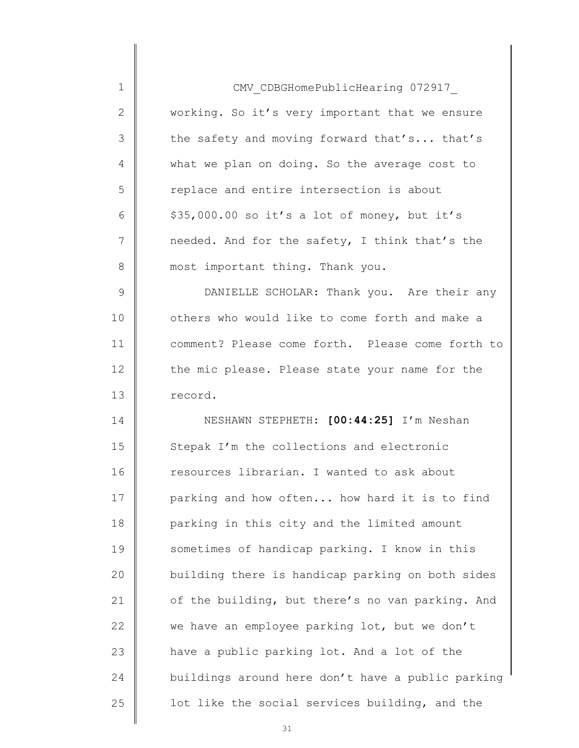| $\mathbf 1$                      | CMV CDBGHomePublicHearing 072917                  |
|----------------------------------|---------------------------------------------------|
| $\mathbf{2}$                     | working. So it's very important that we ensure    |
| 3                                | the safety and moving forward that's that's       |
| 4                                | what we plan on doing. So the average cost to     |
| 5                                | replace and entire intersection is about          |
| 6                                | \$35,000.00 so it's a lot of money, but it's      |
| 7                                | needed. And for the safety, I think that's the    |
| 8                                | most important thing. Thank you.                  |
| $\mathsf 9$                      | DANIELLE SCHOLAR: Thank you. Are their any        |
| 10                               | others who would like to come forth and make a    |
| 11                               | comment? Please come forth. Please come forth to  |
| 12                               | the mic please. Please state your name for the    |
| 13                               | record.                                           |
| 14                               | NESHAWN STEPHETH: [00:44:25] I'm Neshan           |
| 15                               | Stepak I'm the collections and electronic         |
| 16                               | resources librarian. I wanted to ask about        |
| 17                               | parking and how often how hard it is to find      |
| 18                               |                                                   |
|                                  | parking in this city and the limited amount       |
|                                  | sometimes of handicap parking. I know in this     |
|                                  | building there is handicap parking on both sides  |
|                                  | of the building, but there's no van parking. And  |
|                                  | we have an employee parking lot, but we don't     |
|                                  | have a public parking lot. And a lot of the       |
| 19<br>20<br>21<br>22<br>23<br>24 | buildings around here don't have a public parking |
| 25                               | lot like the social services building, and the    |

 $\begin{array}{c} \hline \end{array}$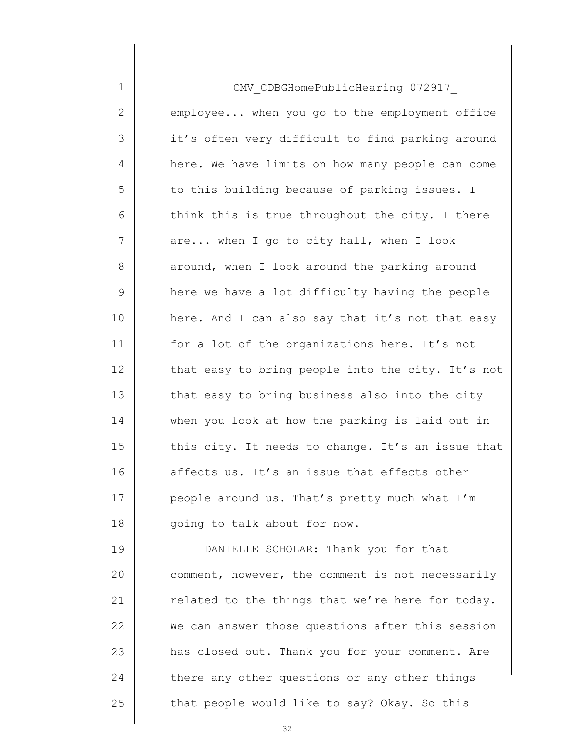| $\mathbf 1$    | CMV CDBGHomePublicHearing 072917                  |
|----------------|---------------------------------------------------|
| $\mathbf{2}$   | employee when you go to the employment office     |
| 3              | it's often very difficult to find parking around  |
| $\overline{4}$ | here. We have limits on how many people can come  |
| 5              | to this building because of parking issues. I     |
| 6              | think this is true throughout the city. I there   |
| 7              | are when I go to city hall, when I look           |
| $8\,$          | around, when I look around the parking around     |
| $\mathsf 9$    | here we have a lot difficulty having the people   |
| 10             | here. And I can also say that it's not that easy  |
| 11             | for a lot of the organizations here. It's not     |
| 12             | that easy to bring people into the city. It's not |
| 13             | that easy to bring business also into the city    |
| 14             | when you look at how the parking is laid out in   |
| 15             | this city. It needs to change. It's an issue that |
| 16             | affects us. It's an issue that effects other      |
| 17             | people around us. That's pretty much what I'm     |
| 18             | going to talk about for now.                      |
| 19             | DANIELLE SCHOLAR: Thank you for that              |
| 20             | comment, however, the comment is not necessarily  |
| 21             | related to the things that we're here for today.  |
| 22             | We can answer those questions after this session  |
| 23             | has closed out. Thank you for your comment. Are   |

there any other questions or any other things

that people would like to say? Okay. So this

24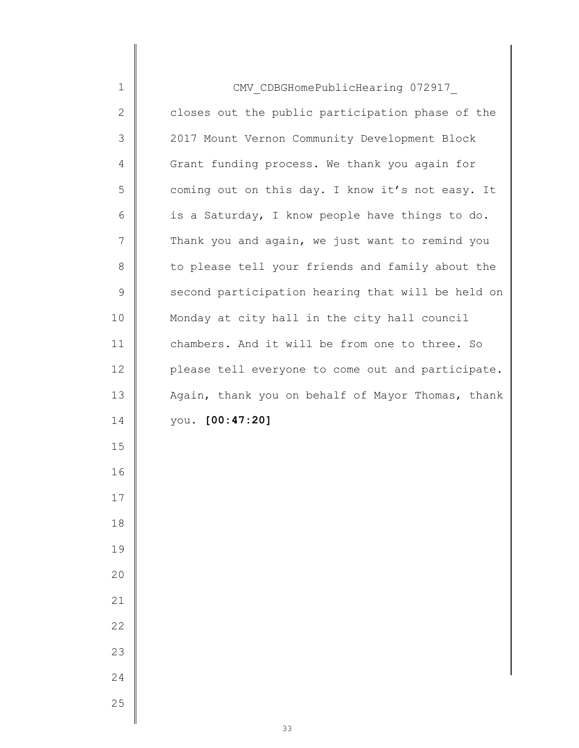| 1             | CMV CDBGHomePublicHearing 072917                  |
|---------------|---------------------------------------------------|
| $\mathbf{2}$  | closes out the public participation phase of the  |
| 3             | 2017 Mount Vernon Community Development Block     |
| 4             | Grant funding process. We thank you again for     |
| 5             | coming out on this day. I know it's not easy. It  |
| 6             | is a Saturday, I know people have things to do.   |
| 7             | Thank you and again, we just want to remind you   |
| 8             | to please tell your friends and family about the  |
| $\mathcal{G}$ | second participation hearing that will be held on |
| 10            | Monday at city hall in the city hall council      |
| 11            | chambers. And it will be from one to three. So    |
| 12            | please tell everyone to come out and participate. |
| 13            | Again, thank you on behalf of Mayor Thomas, thank |
| 14            | you. [00:47:20]                                   |
| 15            |                                                   |
| 16            |                                                   |
| 17            |                                                   |
| 18            |                                                   |
| 19            |                                                   |
| 20            |                                                   |
| 21            |                                                   |
| 22            |                                                   |
| 23            |                                                   |
| 24            |                                                   |
| 25            |                                                   |
|               |                                                   |